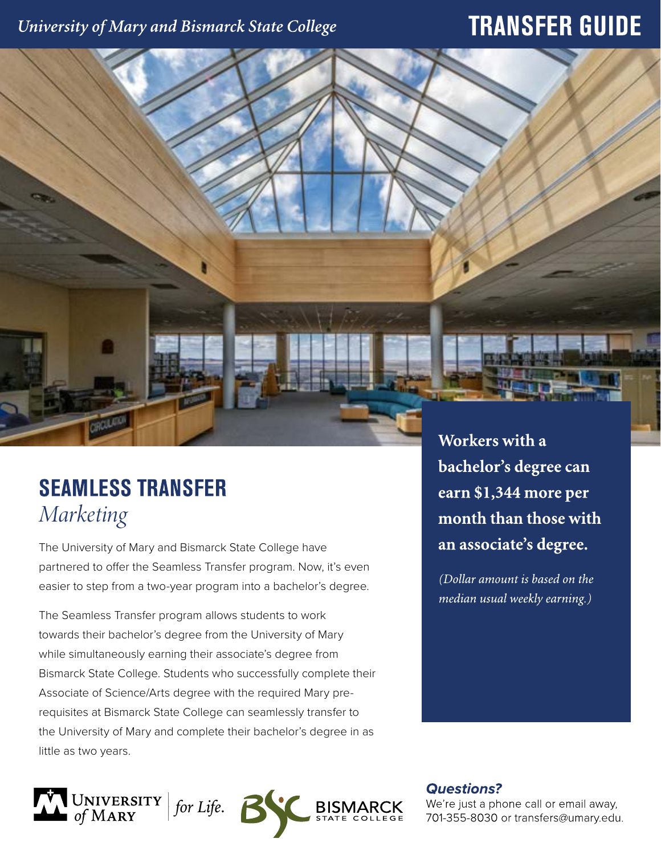## University of Mary and Bismarck State College

# **TRANSFER GUIDE**

# **SEAMLESS TRANSFER** *Marketing*

The University of Mary and Bismarck State College have partnered to offer the Seamless Transfer program. Now, it's even easier to step from a two-year program into a bachelor's degree.

The Seamless Transfer program allows students to work towards their bachelor's degree from the University of Mary while simultaneously earning their associate's degree from Bismarck State College. Students who successfully complete their Associate of Science/Arts degree with the required Mary prerequisites at Bismarck State College can seamlessly transfer to the University of Mary and complete their bachelor's degree in as little as two years.



Workers with a bachelor's degree can earn \$1,344 more per month than those with an associate's degree.

(Dollar amount is based on the median usual weekly earning.)

**Questions?** 

We're just a phone call or email away, 701-355-8030 or transfers@umary.edu.